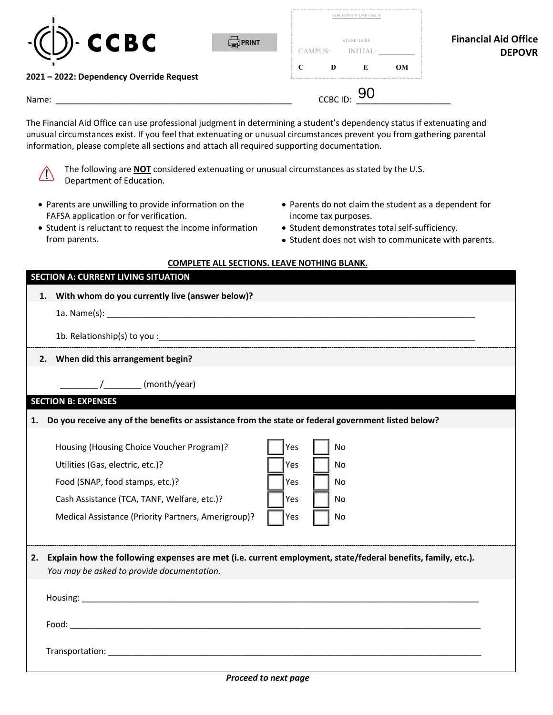| <b>CCBC</b><br><b>FIPRINT</b>            | FOR OFFICE USE ONLY<br><b>STAMP HERE</b><br>CAMPUS:<br><b>INITI</b><br>`IAL | <b>Financial Aid Office</b><br><b>DEPOVR</b> |
|------------------------------------------|-----------------------------------------------------------------------------|----------------------------------------------|
| 2021 - 2022: Dependency Override Request | C<br>OM<br>D<br>E                                                           |                                              |
| Name:                                    | CCBC ID:                                                                    |                                              |

information, please complete all sections and attach all required supporting documentation. The Financial Aid Office can use professional judgment in determining a student's dependency status if extenuating and unusual circumstances exist. If you feel that extenuating or unusual circumstances prevent you from gathering parental



The following are **NOT** considered extenuating or unusual circumstances as stated by the U.S. Department of Education.

- Parents are unwilling to provide information on the Parents do not claim the student as a dependent for FAFSA application or for verification. income tax purposes.
- Student is reluctant to request the income information Student demonstrates total self-sufficiency. from parents. • Student does not wish to communicate with parents.
- 
- -

|  | COMPLETE ALL SECTIONS. LEAVE NOTHING BLANK. |  |  |  |  |
|--|---------------------------------------------|--|--|--|--|
|--|---------------------------------------------|--|--|--|--|

## **SECTION A: CURRENT LIVING SITUATION**

| 1. | With whom do you currently live (answer below)?                                                                                                           |
|----|-----------------------------------------------------------------------------------------------------------------------------------------------------------|
|    |                                                                                                                                                           |
|    |                                                                                                                                                           |
|    | 2. When did this arrangement begin?                                                                                                                       |
|    | / (month/year)                                                                                                                                            |
|    | <b>SECTION B: EXPENSES</b>                                                                                                                                |
| 1. | Do you receive any of the benefits or assistance from the state or federal government listed below?                                                       |
|    | Housing (Housing Choice Voucher Program)?<br>Yes<br><b>No</b>                                                                                             |
|    | Utilities (Gas, electric, etc.)?<br>Yes<br>No                                                                                                             |
|    | Food (SNAP, food stamps, etc.)?<br>Yes<br>No                                                                                                              |
|    | Cash Assistance (TCA, TANF, Welfare, etc.)?<br>Yes<br>No                                                                                                  |
|    | Medical Assistance (Priority Partners, Amerigroup)?<br>Yes<br>No                                                                                          |
|    |                                                                                                                                                           |
| 2. | Explain how the following expenses are met (i.e. current employment, state/federal benefits, family, etc.).<br>You may be asked to provide documentation. |
|    |                                                                                                                                                           |
|    |                                                                                                                                                           |
|    |                                                                                                                                                           |